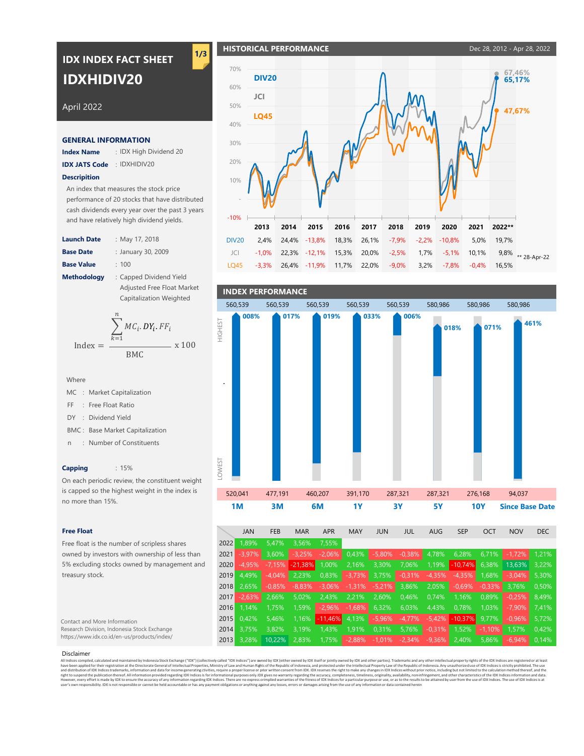# **IDX INDEX FACT SHEET IDXHIDIV20**

**1/3**

# April 2022

### **GENERAL INFORMATION**

**Index Name** : : IDX High Dividend 20

**IDX JATS Code** : IDXHIDIV20

### **Descripition**

An index that measures the stock price performance of 20 stocks that have distributed cash dividends every year over the past 3 years and have relatively high dividend yields.

**Launch Date Base Date Base Value Methodology** : : May 17, 2018 January 30, 2009  $: 100$ Capped Dividend Yield Adjusted Free Float Market Capitalization Weighted

$$
Index = \frac{\sum_{k=1}^{n} MC_i \cdot DY_i \cdot FF_i}{BMC} \times 100
$$

- MC : Market Capitalization
- FF : Free Float Ratio
- DY : Dividend Yield
- **BMC: Base Market Capitalization**
- n : Number of Constituents

### **Capping** : 15%

On each periodic review, the constituent weight is capped so the highest weight in the index is no more than 15%.

### **Free Float**

Free float is the number of scripless shares owned by investors with ownership of less than 5% excluding stocks owned by management and treasury stock.

### Contact and More Information Research Division, Indonesia Stock Exchange https://www.idx.co.id/en-us/products/index/

### Disclaimer

All indices complied, calculated and maintained by Indonesia Stock Exchange ("DX") (collectively call of "ODM redists of the Republic of indonesia, and proceted under be Intellectual Properties, Ministry of Law and Human R

-9,0% JCI LQ45 DIV20 -3,3% 2,4% -5,1% **2013** -1,0% **2014 2017 2018 2019 2020** 11,7% 22,0% -9,0% 3,2% -7,8% -0,4% 18,3% 16,5% 19,7% **2022\*\*** -7,9% 1,7% 3,2% **2021** -7,8% 20,0% 9,8% \*\* 28-Apr-22 26,1% 15,3% **2016** 10,1% 5,0% -2,2% -10,8% -2,5% 22,3% **2015** 26,4% -11,9% 24,4% -12,1% -13,8% **67,46% 47,67% 65,17%** -10% - 10% 20% 30% 40% 50% 60% 70% **DIV20 JCI LQ45**



|      | <b>JAN</b> | <b>FEB</b> | <b>MAR</b>       | <b>APR</b> | <b>MAY</b> | <b>JUN</b>                                    | JUL      | <b>AUG</b> | <b>SEP</b>             | OCT      | <b>NOV</b> | <b>DEC</b> |  |
|------|------------|------------|------------------|------------|------------|-----------------------------------------------|----------|------------|------------------------|----------|------------|------------|--|
| 2022 | 1.89%      | 5.47%      | 3.56%            | 7.55%      |            |                                               |          |            |                        |          |            |            |  |
| 2021 | $-3.97%$   | 3.60%      | $-3,25%$         | $-2,06\%$  | $0,43\%$   | $-5,80%$                                      | $-0.38%$ | 4,78%      | 6,28%                  | $6,71\%$ | $-1.72\%$  | 1.21%      |  |
| 2020 | $-4.95%$   | $-7.15%$   | $-21,38\%$ 1,00% |            | 2,16%      | 3,30%                                         | 7,06%    |            | $1,19\%$ -10,74% 6,38% |          | 13.63%     | 3.22%      |  |
| 2019 | 4.49%      | $-4.04\%$  | $2,23\%$         | $0.83\%$   |            | $-3,73\%$ 3,75%                               | $-0,31%$ | $-4,35%$   | $-4,35\%$ 1,68%        |          | $-3,04%$   | 5.30%      |  |
| 2018 | 2.65%      | $-0.85%$   | $-8,83%$         | $-3,06%$   | $-1,31%$   | $-5,21%$                                      | 3,86%    | $2,05\%$   | $-0.69%$               | $-0.33%$ | 3.76%      | 0.50%      |  |
| 2017 | $-2.63\%$  | 2.66%      | 5.02%            | 2,43%      | 2,21%      | 2,60%                                         | 0,46%    | 0.74%      | 1.16%                  | 0.89%    | $-0.25%$   | 8.49%      |  |
| 2016 | 1.14%      | 1.75%      | $1,59\%$         | $-2,96%$   | $-1,68\%$  | 6,32%                                         | 6,03%    | 4.43%      | 0.78%                  | 1.03%    | $-7.90\%$  | 7.41%      |  |
| 2015 | 0.42%      | 5.46%      | 1,16%            | $-11,46%$  | 4,13%      | $-5,96%$                                      | $-4,77%$ | $-5,42%$   | $-10,37%$              | 9.77%    | $-0.96%$   | 5.72%      |  |
| 2014 | 3.75%      | 3.82%      | 3.19%            | $1,43\%$   | 1,91%      | 0,31%                                         | 5,76%    |            | $-0.31\%$ 1.52%        | $-1,10%$ | 1.57%      | 0.42%      |  |
| 2013 | 3.28%      | 10.22%     | 2.83%            | $1,75\%$   |            | $-2,88\%$ $-1,01\%$ $-2,34\%$ $-9,36\%$ 2,40% |          |            |                        | $5.86\%$ | $-6.94\%$  | 0.14%      |  |

**HISTORICAL PERFORMANCE** DEC 28, 2012 - Apr 28, 2022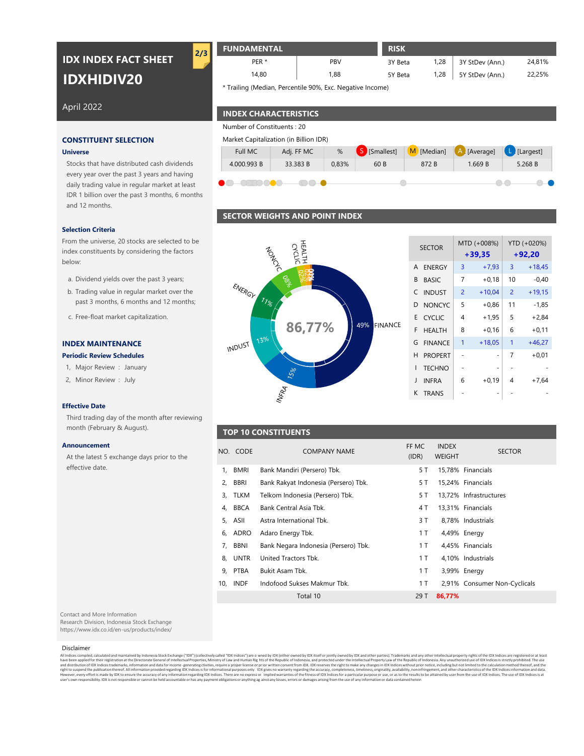# **IDXHIDIV20 IDX INDEX FACT SHEET**

## April 2022

### **Universe**

Stocks that have distributed cash dividends every year over the past 3 years and having daily trading value in regular market at least IDR 1 billion over the past 3 months, 6 months and 12 months.

### **Selection Criteria**

From the universe, 20 stocks are selected to be index constituents by considering the factors below:

- a. Dividend yields over the past 3 years;
- b. Trading value in regular market over the past 3 months, 6 months and 12 months;
- c. Free-float market capitalization.

### **Periodic Review Schedules**

- 1, Major Review : January
- 2, Minor Review : July

### **Effective Date**

Third trading day of the month after reviewing month (February & August).

### **Announcement**

At the latest 5 exchange days prior to the effective date.

**FUNDAMENTAL RISK** 3Y Beta 1,28 3Y StDev (Ann.) 5Y Beta 1,28 | 5Y StDev (Ann.) 24,81% 22,25% PBV PER \* 14,80 1,28 1,28 1,88 **2/3**

\* Trailing (Median, Percentile 90%, Exc. Negative Income)

## **INDEX CHARACTERISTICS**

Number of Constituents : 20



## **SECTOR WEIGHTS AND POINT INDEX**

# CYCUC 00% ENERGY  $1_{\frac{1}{6}}$ 49% FINANCE **86,77% INDEX MAINTENANCE FINANCE** January **TECHNO** July **International Community of the Community of the Community of the Community of the Community of the Community of the Community of the Community of the Community of the Community of the Community of the Community of th**

| <b>SECTOR</b>       |   | MTD (+008%)<br>$+39,35$ | YTD (+020%)<br>$+92,20$ |          |  |  |
|---------------------|---|-------------------------|-------------------------|----------|--|--|
| <b>ENERGY</b><br>A  | 3 | $+7,93$                 | 3                       | $+18,45$ |  |  |
| <b>BASIC</b><br>B   | 7 | $+0,18$                 | 10                      | $-0,40$  |  |  |
| C<br><b>INDUST</b>  | 2 | $+10,04$                | $\overline{2}$          | $+19,15$ |  |  |
| <b>NONCYC</b><br>D  | 5 | $+0,86$                 | 11                      | $-1,85$  |  |  |
| Е<br><b>CYCLIC</b>  | 4 | $+1.95$                 | 5                       | $+2.84$  |  |  |
| F<br><b>HFAITH</b>  | 8 | $+0.16$                 | 6                       | $+0,11$  |  |  |
| G<br><b>FINANCF</b> | 1 | $+18,05$                | 1                       | $+46,27$ |  |  |
| н<br><b>PROPERT</b> |   | -                       | 7                       | $+0,01$  |  |  |
| I<br><b>TECHNO</b>  |   |                         |                         |          |  |  |
| J<br><b>INFRA</b>   | 6 | $+0,19$                 | 4                       | +7.64    |  |  |
| K<br><b>TRANS</b>   |   |                         |                         |          |  |  |

## **TOP 10 CONSTITUENTS**

|    | NO. CODE | <b>COMPANY NAME</b>                  | FF MC<br>(IDR) | <b>INDEX</b><br><b>WEIGHT</b> | <b>SECTOR</b>                |
|----|----------|--------------------------------------|----------------|-------------------------------|------------------------------|
| 1. | BMRI     | Bank Mandiri (Persero) Tbk.          | 5 T            |                               | 15.78% Financials            |
| 2, | BBRI     | Bank Rakyat Indonesia (Persero) Tbk. | 5 T            |                               | 15,24% Financials            |
|    | 3, TLKM  | Telkom Indonesia (Persero) Tbk.      | 5 T            |                               | 13,72% Infrastructures       |
| 4. | BBCA     | Bank Central Asia Tbk.               | 4 T            |                               | 13,31% Financials            |
|    | 5, ASII  | Astra International Tbk.             | 3 T            |                               | 8,78% Industrials            |
|    | 6, ADRO  | Adaro Energy Tbk.                    | 1 T            |                               | 4,49% Energy                 |
|    | 7, BBNI  | Bank Negara Indonesia (Persero) Tbk. | 1 T            |                               | 4,45% Financials             |
|    | 8. UNTR  | United Tractors Tbk.                 | 1 T            |                               | 4,10% Industrials            |
|    | 9, PTBA  | Bukit Asam Tbk.                      | 1 T            |                               | 3,99% Energy                 |
|    | 10. INDF | Indofood Sukses Makmur Tbk.          | 1 T            |                               | 2,91% Consumer Non-Cyclicals |
|    |          | Total 10                             | 29 T           | 86,77%                        |                              |

Contact and More Information

Research Division, Indonesia Stock Exchange https://www.idx.co.id/en-us/products/index/

### Disclaimer

All indies complied, daculated and maintened by Indonesia Stock Exchange ("DX") (collectively called "DX indices: incomparism) of DX indices are real of intellectual Properties, Ministry of Law and Human Rig hts of the Rep